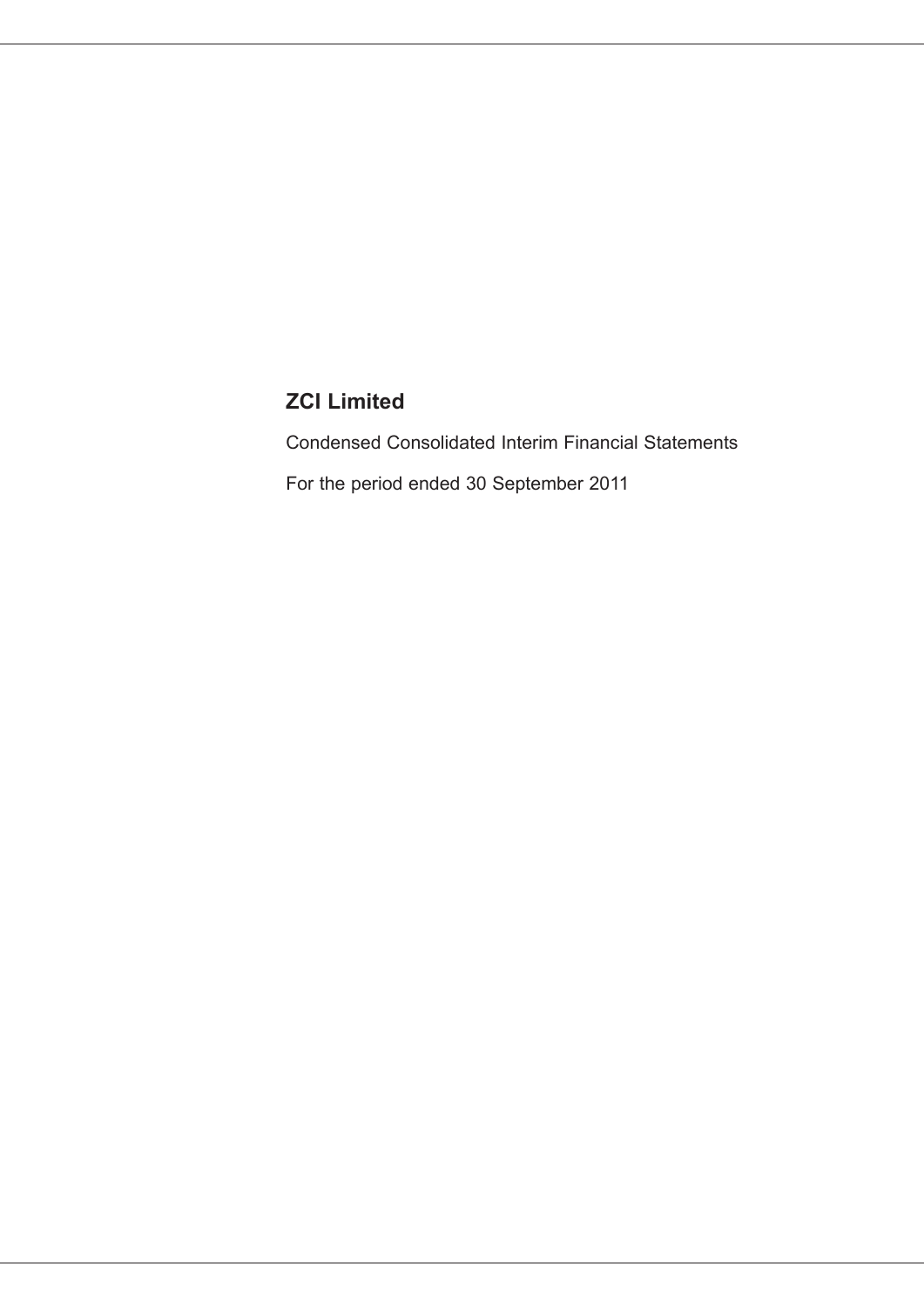Condensed Consolidated Interim Financial Statements For the period ended 30 September 2011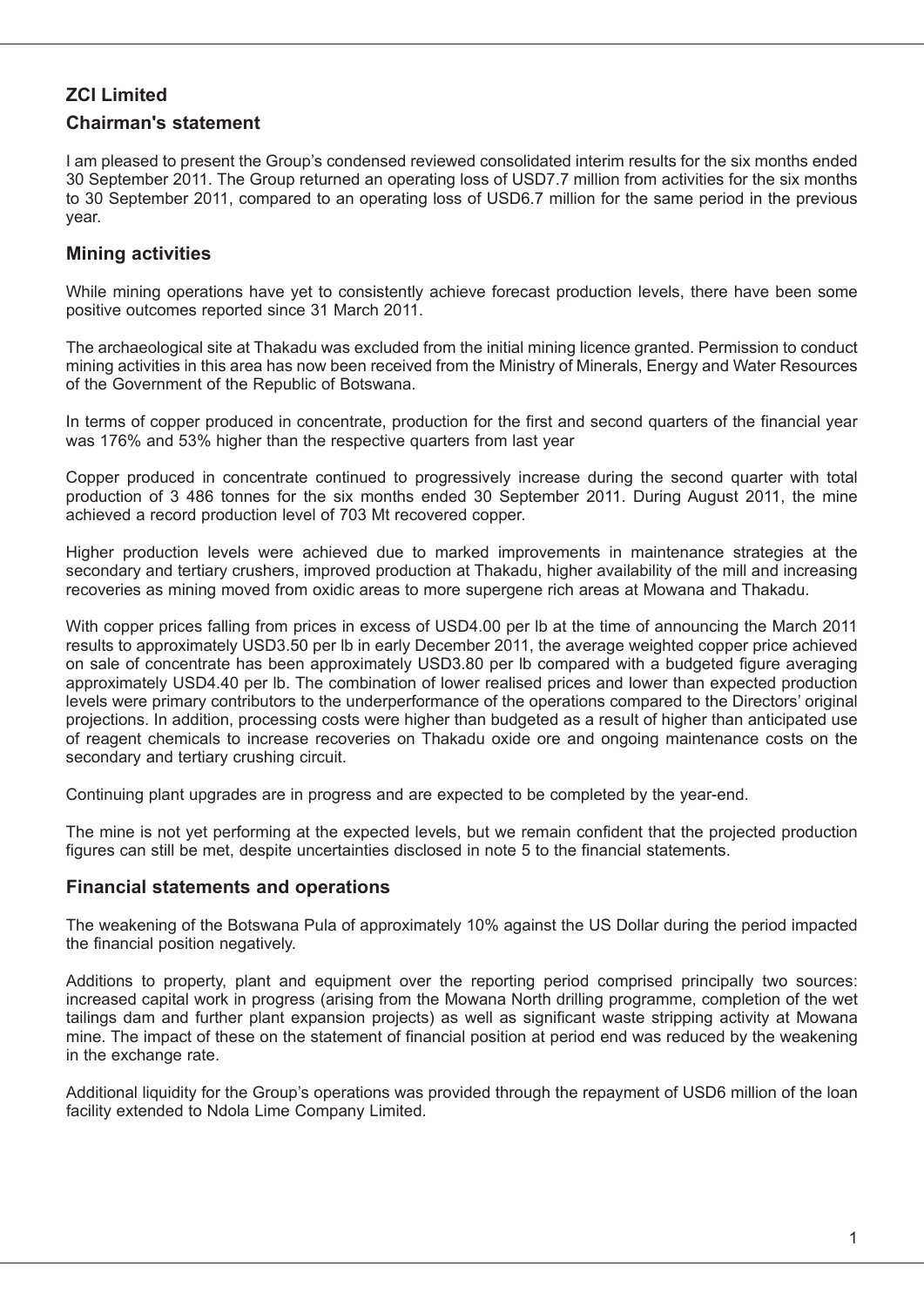### **Chairman's statement**

I am pleased to present the Group's condensed reviewed consolidated interim results for the six months ended 30 September 2011. The Group returned an operating loss of USD7.7 million from activities for the six months to 30 September 2011, compared to an operating loss of USD6.7 million for the same period in the previous year.

### **Mining activities**

While mining operations have yet to consistently achieve forecast production levels, there have been some positive outcomes reported since 31 March 2011.

The archaeological site at Thakadu was excluded from the initial mining licence granted. Permission to conduct mining activities in this area has now been received from the Ministry of Minerals, Energy and Water Resources of the Government of the Republic of Botswana.

In terms of copper produced in concentrate, production for the first and second quarters of the financial year was 176% and 53% higher than the respective quarters from last year

Copper produced in concentrate continued to progressively increase during the second quarter with total production of 3 486 tonnes for the six months ended 30 September 2011. During August 2011, the mine achieved a record production level of 703 Mt recovered copper.

Higher production levels were achieved due to marked improvements in maintenance strategies at the secondary and tertiary crushers, improved production at Thakadu, higher availability of the mill and increasing recoveries as mining moved from oxidic areas to more supergene rich areas at Mowana and Thakadu.

With copper prices falling from prices in excess of USD4.00 per lb at the time of announcing the March 2011 results to approximately USD3.50 per lb in early December 2011, the average weighted copper price achieved on sale of concentrate has been approximately USD3.80 per lb compared with a budgeted figure averaging approximately USD4.40 per lb. The combination of lower realised prices and lower than expected production levels were primary contributors to the underperformance of the operations compared to the Directors' original projections. In addition, processing costs were higher than budgeted as a result of higher than anticipated use of reagent chemicals to increase recoveries on Thakadu oxide ore and ongoing maintenance costs on the secondary and tertiary crushing circuit.

Continuing plant upgrades are in progress and are expected to be completed by the year-end.

The mine is not yet performing at the expected levels, but we remain confident that the projected production figures can still be met, despite uncertainties disclosed in note 5 to the financial statements.

### **Financial statements and operations**

The weakening of the Botswana Pula of approximately 10% against the US Dollar during the period impacted the financial position negatively.

Additions to property, plant and equipment over the reporting period comprised principally two sources: increased capital work in progress (arising from the Mowana North drilling programme, completion of the wet tailings dam and further plant expansion projects) as well as significant waste stripping activity at Mowana mine. The impact of these on the statement of financial position at period end was reduced by the weakening in the exchange rate.

Additional liquidity for the Group's operations was provided through the repayment of USD6 million of the loan facility extended to Ndola Lime Company Limited.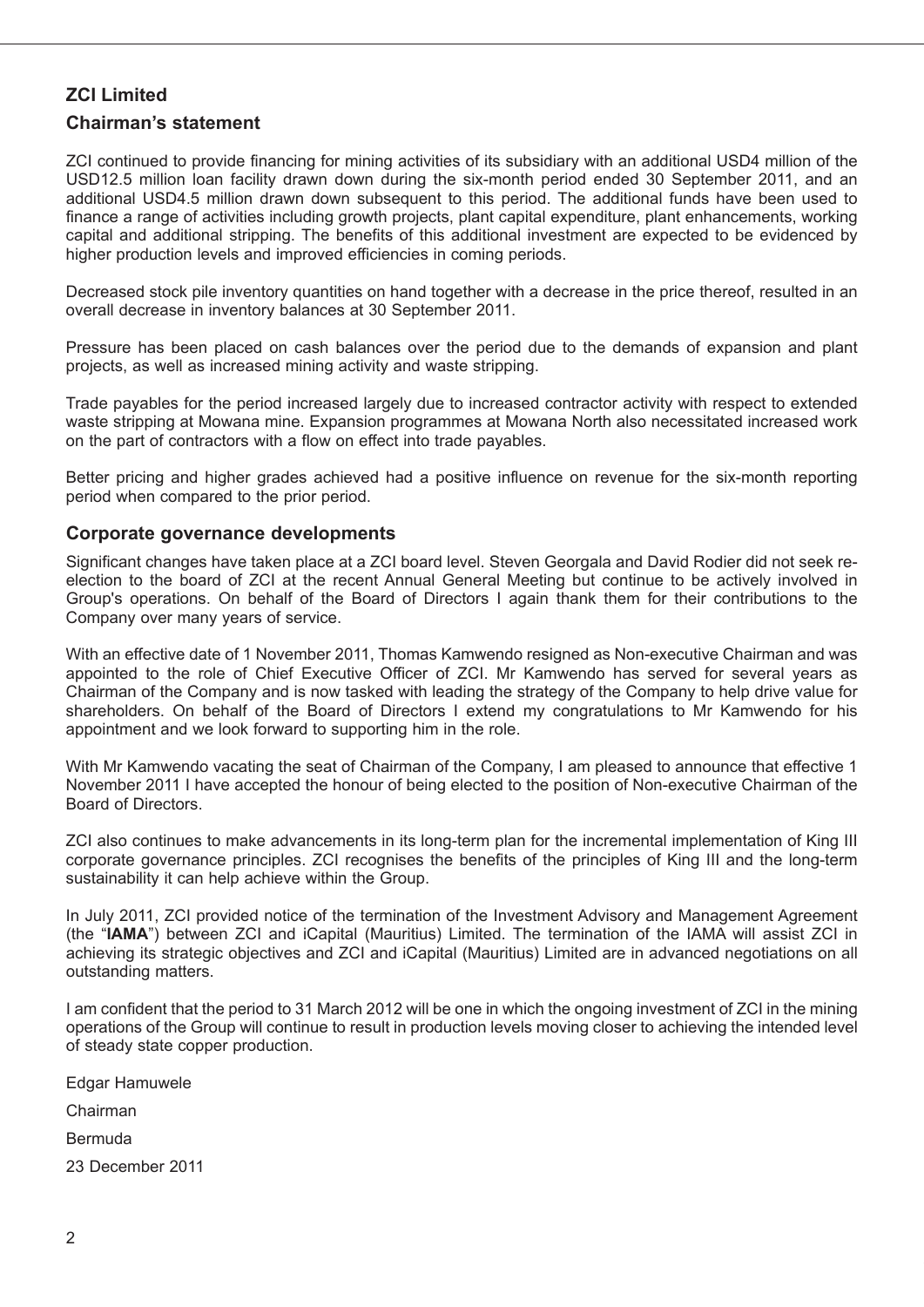### **Chairman's statement**

ZCI continued to provide financing for mining activities of its subsidiary with an additional USD4 million of the USD12.5 million loan facility drawn down during the six-month period ended 30 September 2011, and an additional USD4.5 million drawn down subsequent to this period. The additional funds have been used to finance a range of activities including growth projects, plant capital expenditure, plant enhancements, working capital and additional stripping. The benefits of this additional investment are expected to be evidenced by higher production levels and improved efficiencies in coming periods.

Decreased stock pile inventory quantities on hand together with a decrease in the price thereof, resulted in an overall decrease in inventory balances at 30 September 2011.

Pressure has been placed on cash balances over the period due to the demands of expansion and plant projects, as well as increased mining activity and waste stripping.

Trade payables for the period increased largely due to increased contractor activity with respect to extended waste stripping at Mowana mine. Expansion programmes at Mowana North also necessitated increased work on the part of contractors with a flow on effect into trade payables.

Better pricing and higher grades achieved had a positive influence on revenue for the six-month reporting period when compared to the prior period.

### **Corporate governance developments**

Significant changes have taken place at a ZCI board level. Steven Georgala and David Rodier did not seek reelection to the board of ZCI at the recent Annual General Meeting but continue to be actively involved in Group's operations. On behalf of the Board of Directors I again thank them for their contributions to the Company over many years of service.

With an effective date of 1 November 2011, Thomas Kamwendo resigned as Non-executive Chairman and was appointed to the role of Chief Executive Officer of ZCI. Mr Kamwendo has served for several years as Chairman of the Company and is now tasked with leading the strategy of the Company to help drive value for shareholders. On behalf of the Board of Directors I extend my congratulations to Mr Kamwendo for his appointment and we look forward to supporting him in the role.

With Mr Kamwendo vacating the seat of Chairman of the Company, I am pleased to announce that effective 1 November 2011 I have accepted the honour of being elected to the position of Non-executive Chairman of the Board of Directors.

ZCI also continues to make advancements in its long-term plan for the incremental implementation of King III corporate governance principles. ZCI recognises the benefits of the principles of King III and the long-term sustainability it can help achieve within the Group.

In July 2011, ZCI provided notice of the termination of the Investment Advisory and Management Agreement (the "**IAMA**") between ZCI and iCapital (Mauritius) Limited. The termination of the IAMA will assist ZCI in achieving its strategic objectives and ZCI and iCapital (Mauritius) Limited are in advanced negotiations on all outstanding matters.

I am confident that the period to 31 March 2012 will be one in which the ongoing investment of ZCI in the mining operations of the Group will continue to result in production levels moving closer to achieving the intended level of steady state copper production.

Edgar Hamuwele

Chairman

Bermuda

23 December 2011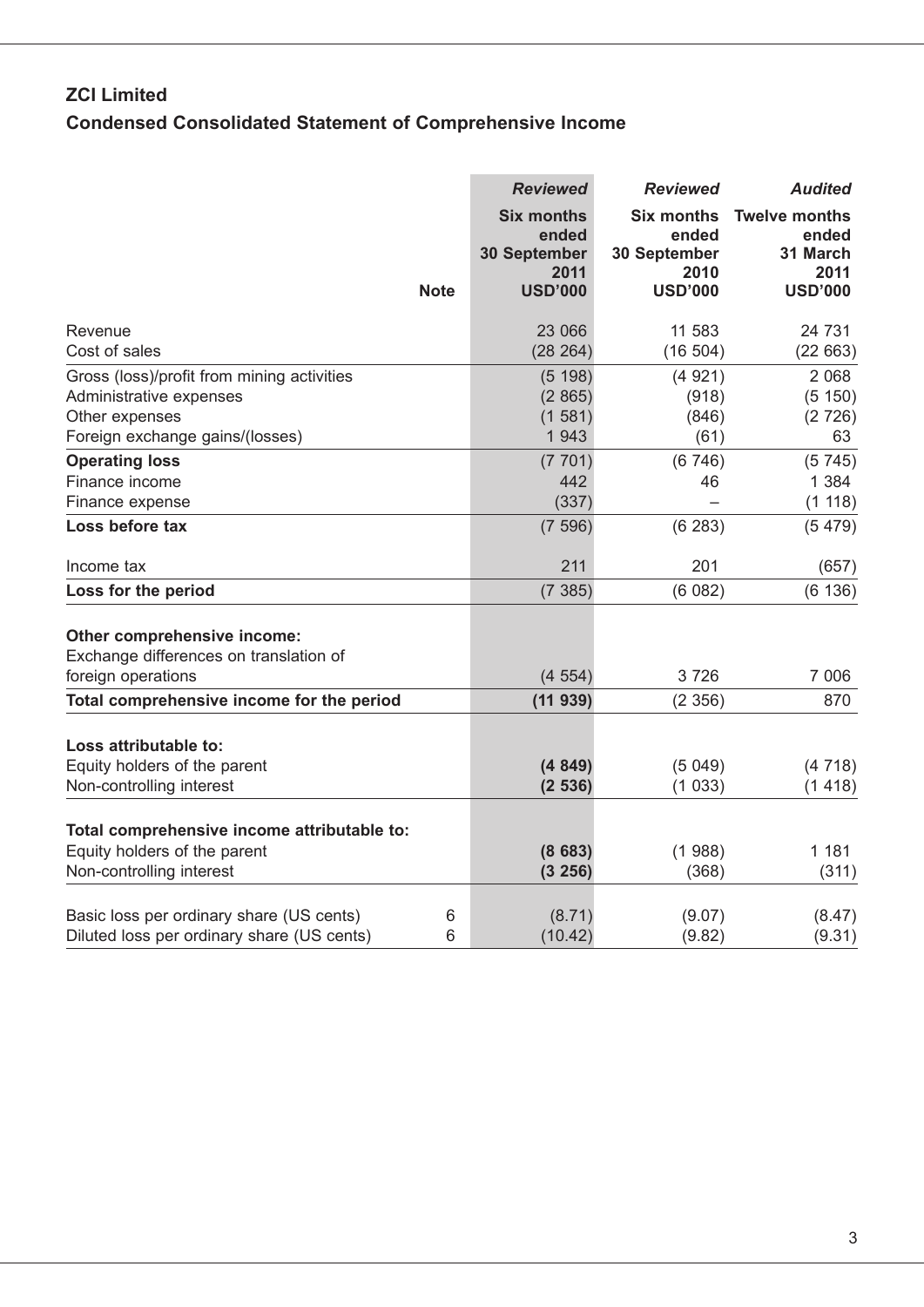# **ZCI Limited Condensed Consolidated Statement of Comprehensive Income**

|                                                 | <b>Reviewed</b>                                           | <b>Reviewed</b>                                    | <b>Audited</b>                                    |
|-------------------------------------------------|-----------------------------------------------------------|----------------------------------------------------|---------------------------------------------------|
|                                                 | <b>Six months</b><br>ended<br><b>30 September</b><br>2011 | <b>Six months</b><br>ended<br>30 September<br>2010 | <b>Twelve months</b><br>ended<br>31 March<br>2011 |
| <b>Note</b>                                     | <b>USD'000</b>                                            | <b>USD'000</b>                                     | <b>USD'000</b>                                    |
| Revenue                                         | 23 066                                                    | 11 583                                             | 24 731                                            |
| Cost of sales                                   | (28 264)                                                  | (16504)                                            | (22663)                                           |
| Gross (loss)/profit from mining activities      | (5 198)                                                   | (4921)                                             | 2 0 6 8                                           |
| Administrative expenses                         | (2865)                                                    | (918)                                              | (5 150)                                           |
| Other expenses                                  | (1581)                                                    | (846)                                              | (2726)                                            |
| Foreign exchange gains/(losses)                 | 1 9 4 3                                                   | (61)                                               | 63                                                |
| <b>Operating loss</b>                           | (7701)                                                    | (6746)                                             | (5745)                                            |
| Finance income                                  | 442                                                       | 46                                                 | 1 3 8 4                                           |
| Finance expense                                 | (337)                                                     |                                                    | (1 118)                                           |
| Loss before tax                                 | (7596)                                                    | (6283)                                             | (5479)                                            |
| Income tax                                      | 211                                                       | 201                                                | (657)                                             |
| Loss for the period                             | (7385)                                                    | (6082)                                             | (6136)                                            |
| Other comprehensive income:                     |                                                           |                                                    |                                                   |
| Exchange differences on translation of          |                                                           |                                                    |                                                   |
| foreign operations                              | (4554)                                                    | 3726                                               | 7 0 0 6                                           |
| Total comprehensive income for the period       | (11939)                                                   | (2356)                                             | 870                                               |
| Loss attributable to:                           |                                                           |                                                    |                                                   |
| Equity holders of the parent                    | (4849)                                                    | (5049)                                             | (4718)                                            |
| Non-controlling interest                        | (2536)                                                    | (1033)                                             | (1418)                                            |
| Total comprehensive income attributable to:     |                                                           |                                                    |                                                   |
| Equity holders of the parent                    | (8683)                                                    | (1988)                                             | 1 1 8 1                                           |
| Non-controlling interest                        | (3 256)                                                   | (368)                                              | (311)                                             |
| Basic loss per ordinary share (US cents)<br>6   | (8.71)                                                    | (9.07)                                             | (8.47)                                            |
| Diluted loss per ordinary share (US cents)<br>6 | (10.42)                                                   | (9.82)                                             | (9.31)                                            |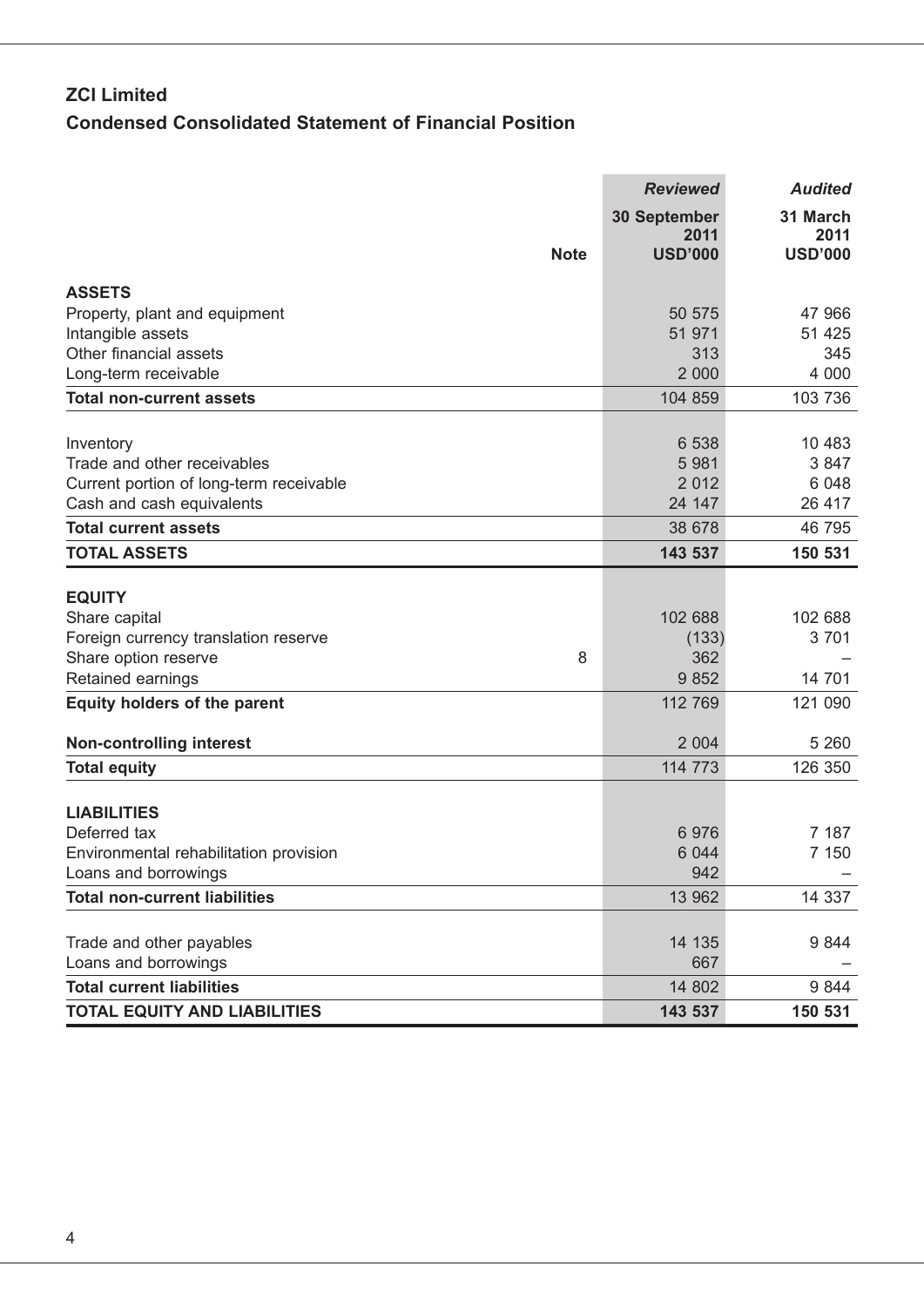# **ZCI Limited Condensed Consolidated Statement of Financial Position**

|                                                                | <b>Reviewed</b>                               | <b>Audited</b>                     |
|----------------------------------------------------------------|-----------------------------------------------|------------------------------------|
| <b>Note</b>                                                    | <b>30 September</b><br>2011<br><b>USD'000</b> | 31 March<br>2011<br><b>USD'000</b> |
|                                                                |                                               |                                    |
| <b>ASSETS</b><br>Property, plant and equipment                 | 50 575                                        | 47 966                             |
| Intangible assets                                              | 51 971                                        | 51 4 25                            |
| Other financial assets                                         | 313                                           | 345                                |
| Long-term receivable                                           | 2 0 0 0                                       | 4 0 0 0                            |
| <b>Total non-current assets</b>                                | 104 859                                       | 103 736                            |
|                                                                | 6 5 38                                        | 10 483                             |
| Inventory<br>Trade and other receivables                       | 5 9 8 1                                       | 3847                               |
| Current portion of long-term receivable                        | 2 0 1 2                                       | 6 0 48                             |
| Cash and cash equivalents                                      | 24 147                                        | 26 417                             |
| <b>Total current assets</b>                                    | 38 678                                        | 46 795                             |
| <b>TOTAL ASSETS</b>                                            | 143 537                                       | 150 531                            |
|                                                                |                                               |                                    |
| <b>EQUITY</b><br>Share capital                                 | 102 688                                       | 102 688                            |
| Foreign currency translation reserve                           | (133)                                         | 3701                               |
| Share option reserve<br>8                                      | 362                                           |                                    |
| Retained earnings                                              | 9852                                          | 14 701                             |
| <b>Equity holders of the parent</b>                            | 112 769                                       | 121 090                            |
| <b>Non-controlling interest</b>                                | 2 0 0 4                                       | 5 2 6 0                            |
| <b>Total equity</b>                                            | 114 773                                       | 126 350                            |
|                                                                |                                               |                                    |
| <b>LIABILITIES</b>                                             |                                               |                                    |
| Deferred tax                                                   | 6976                                          | 7 187                              |
| Environmental rehabilitation provision<br>Loans and borrowings | 6 0 4 4<br>942                                | 7 1 5 0                            |
| <b>Total non-current liabilities</b>                           | 13 962                                        | 14 337                             |
|                                                                |                                               |                                    |
| Trade and other payables                                       | 14 135                                        | 9844                               |
| Loans and borrowings                                           | 667                                           |                                    |
| <b>Total current liabilities</b>                               | 14 802                                        | 9844                               |
| <b>TOTAL EQUITY AND LIABILITIES</b>                            | 143 537                                       | 150 531                            |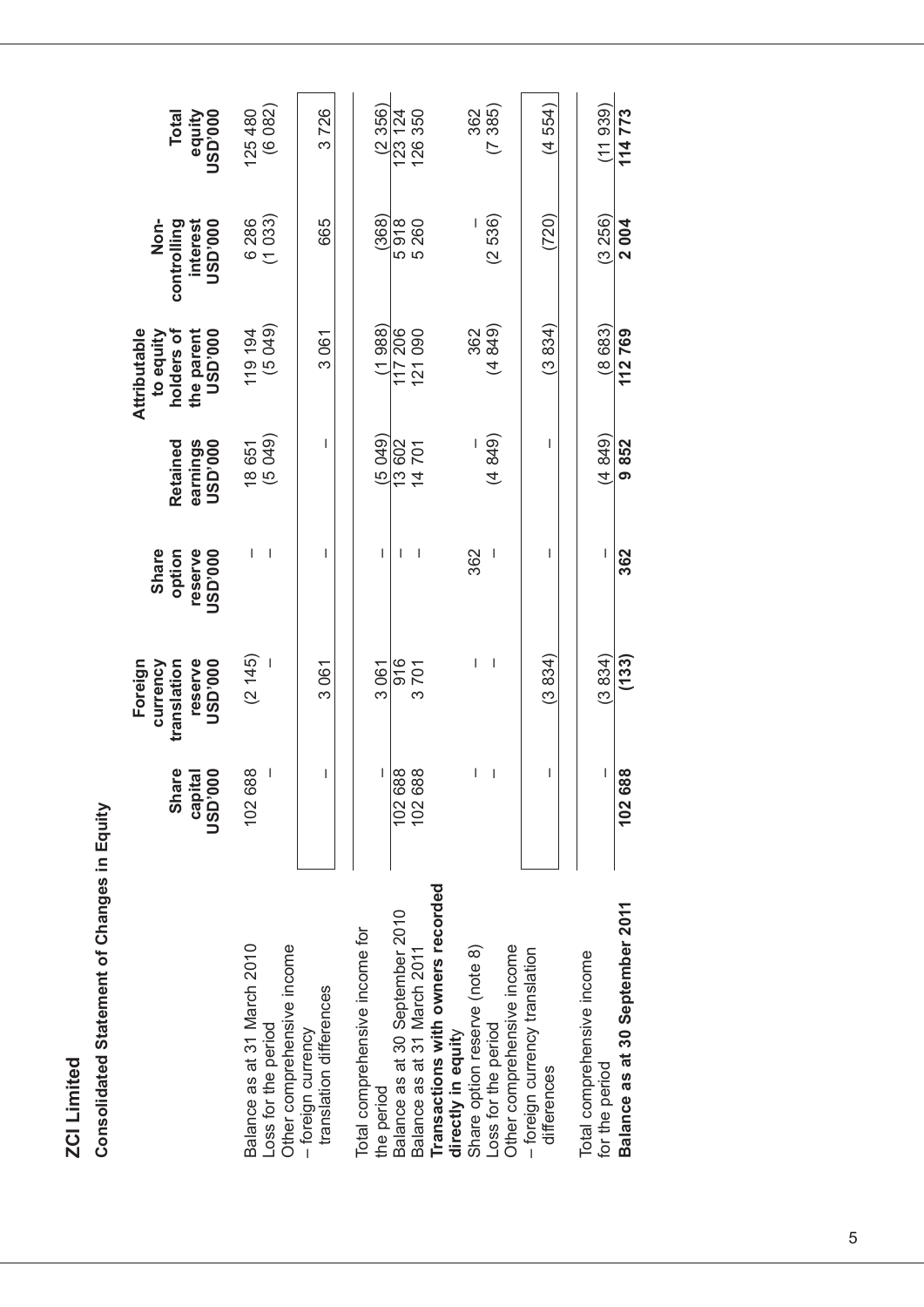**ZCI Limited ZCI Limited**

Consolidated Statement of Changes in Equity **Consolidated Statement of Changes in Equity**

|                                                              |                           | Foreign                   |                           |                              | Attributable                 |                                     |                          |
|--------------------------------------------------------------|---------------------------|---------------------------|---------------------------|------------------------------|------------------------------|-------------------------------------|--------------------------|
|                                                              | Shar                      | currency<br>translation   | Share<br>option           | Retained                     | to equity<br>holders of      | Non-<br>controlling                 | <b>Total</b>             |
|                                                              | <b>DOO:QSD</b><br>capital | <b>DOO.GSD</b><br>reserve | reserve<br><b>000.GSL</b> | <b>DO0.GSD</b><br>earnings   | <b>DOO.GSD</b><br>the parent | <b>DOO</b> , <b>QSD</b><br>interest | <b>000.GSD</b><br>equity |
| Balance as at 31 March 2010                                  | 102 688                   | (2145)                    | ı                         |                              | 119 194                      | 6 286                               | 125480                   |
| Other comprehensive income<br>Loss for the period            |                           |                           | I                         | 18 651<br>(5 049)            | (5049)                       | (1033)                              | (6082)                   |
| translation differences<br>- foreign currency                | I                         | 3061                      | T                         | I                            | 3061                         | 665                                 | 3726                     |
| Total comprehensive income for<br>the period                 | L                         | 3061                      | L                         | (5049)                       | (1988)                       | (368)                               | (2356)                   |
| Balance as at 30 September 2010                              |                           | 916                       | ı                         | 13 602                       | 117 206                      | 5918                                | 123 124                  |
| Balance as at 31 March 2011                                  | 102 688<br>102 688        | 3701                      | I                         | <b>701</b><br>$\overline{4}$ | 090<br>$\overline{21}$       | 5 260                               | 126350                   |
| Transactions with owners recorded<br>directly in equity      |                           |                           |                           |                              |                              |                                     |                          |
| Share option reserve (note 8)                                | L                         | I                         | 362                       |                              | 362                          |                                     | 362                      |
| Loss for the period                                          | $\overline{\phantom{a}}$  | I                         |                           | (4849)                       | (4849)                       | (2536)                              | (7385)                   |
| Other comprehensive income<br>- foreign currency translation |                           |                           |                           |                              |                              |                                     |                          |
| differences                                                  | I                         | (3834)                    | ı                         | I                            | (3834)                       | (720)                               | (4554)                   |
| Total comprehensive income                                   |                           | (3834)                    |                           | (4849)                       | (8683                        | (3256)                              | (11939)                  |
| for the period                                               | I                         |                           |                           |                              |                              |                                     |                          |
| Balance as at 30 September 2011                              | 102688                    | (133)                     | 362                       | 9852                         | 112769                       | 2004                                | 114773                   |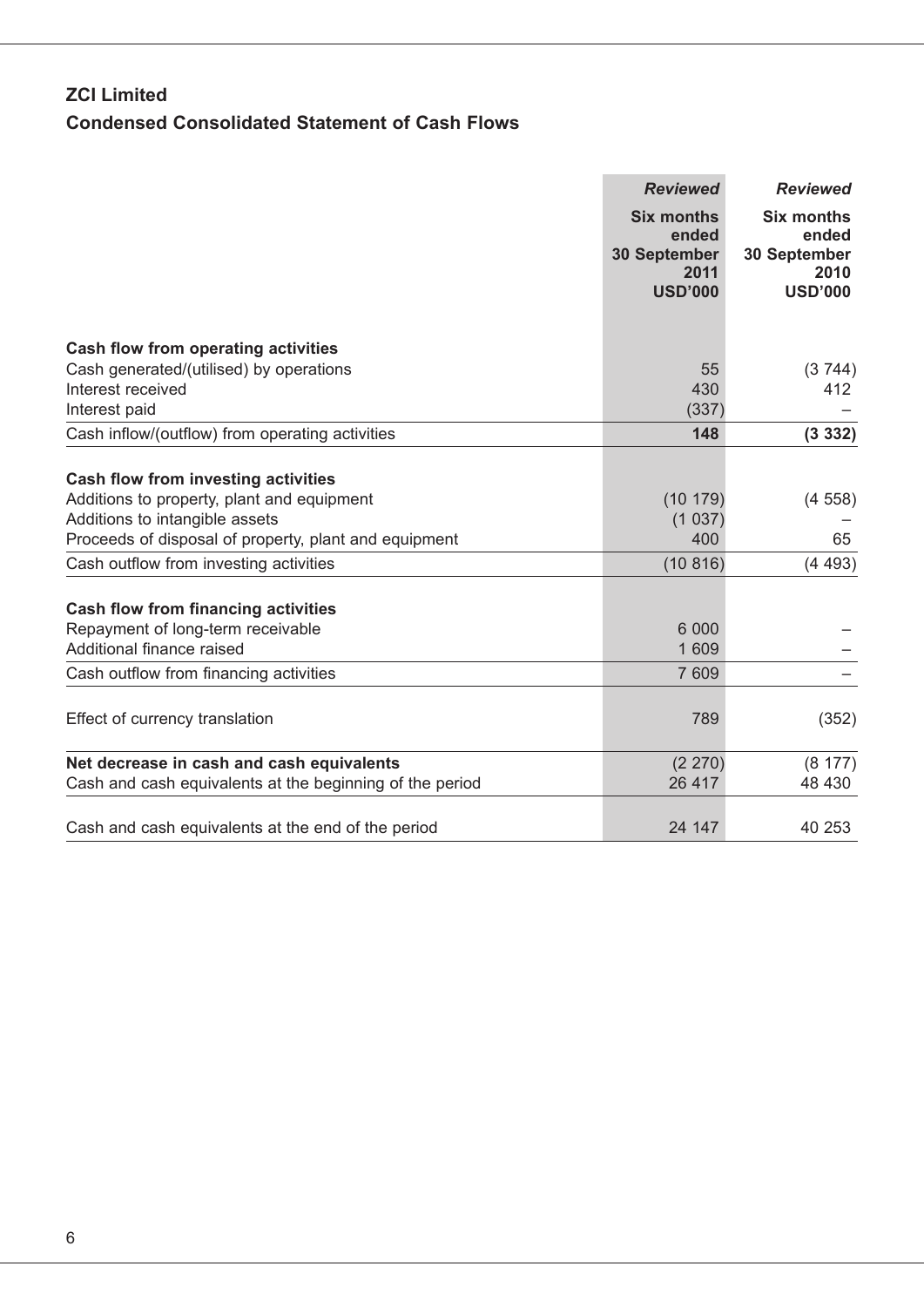# **ZCI Limited Condensed Consolidated Statement of Cash Flows**

|                                                          | <b>Reviewed</b>                                           | <b>Reviewed</b>                                    |
|----------------------------------------------------------|-----------------------------------------------------------|----------------------------------------------------|
|                                                          | <b>Six months</b><br>ended<br><b>30 September</b><br>2011 | <b>Six months</b><br>ended<br>30 September<br>2010 |
|                                                          | <b>USD'000</b>                                            | <b>USD'000</b>                                     |
| <b>Cash flow from operating activities</b>               |                                                           |                                                    |
| Cash generated/(utilised) by operations                  | 55                                                        | (3744)                                             |
| Interest received                                        | 430                                                       | 412                                                |
| Interest paid                                            | (337)                                                     |                                                    |
| Cash inflow/(outflow) from operating activities          | 148                                                       | (3332)                                             |
| <b>Cash flow from investing activities</b>               |                                                           |                                                    |
| Additions to property, plant and equipment               | (10179)                                                   | (4558)                                             |
| Additions to intangible assets                           | (1037)                                                    |                                                    |
| Proceeds of disposal of property, plant and equipment    | 400                                                       | 65                                                 |
| Cash outflow from investing activities                   | (10816)                                                   | (4493)                                             |
| <b>Cash flow from financing activities</b>               |                                                           |                                                    |
| Repayment of long-term receivable                        | 6 0 0 0                                                   |                                                    |
| Additional finance raised                                | 1 609                                                     |                                                    |
| Cash outflow from financing activities                   | 7 609                                                     |                                                    |
| Effect of currency translation                           | 789                                                       | (352)                                              |
| Net decrease in cash and cash equivalents                | (2 270)                                                   | (8177)                                             |
| Cash and cash equivalents at the beginning of the period | 26 417                                                    | 48 430                                             |
| Cash and cash equivalents at the end of the period       | 24 147                                                    | 40 253                                             |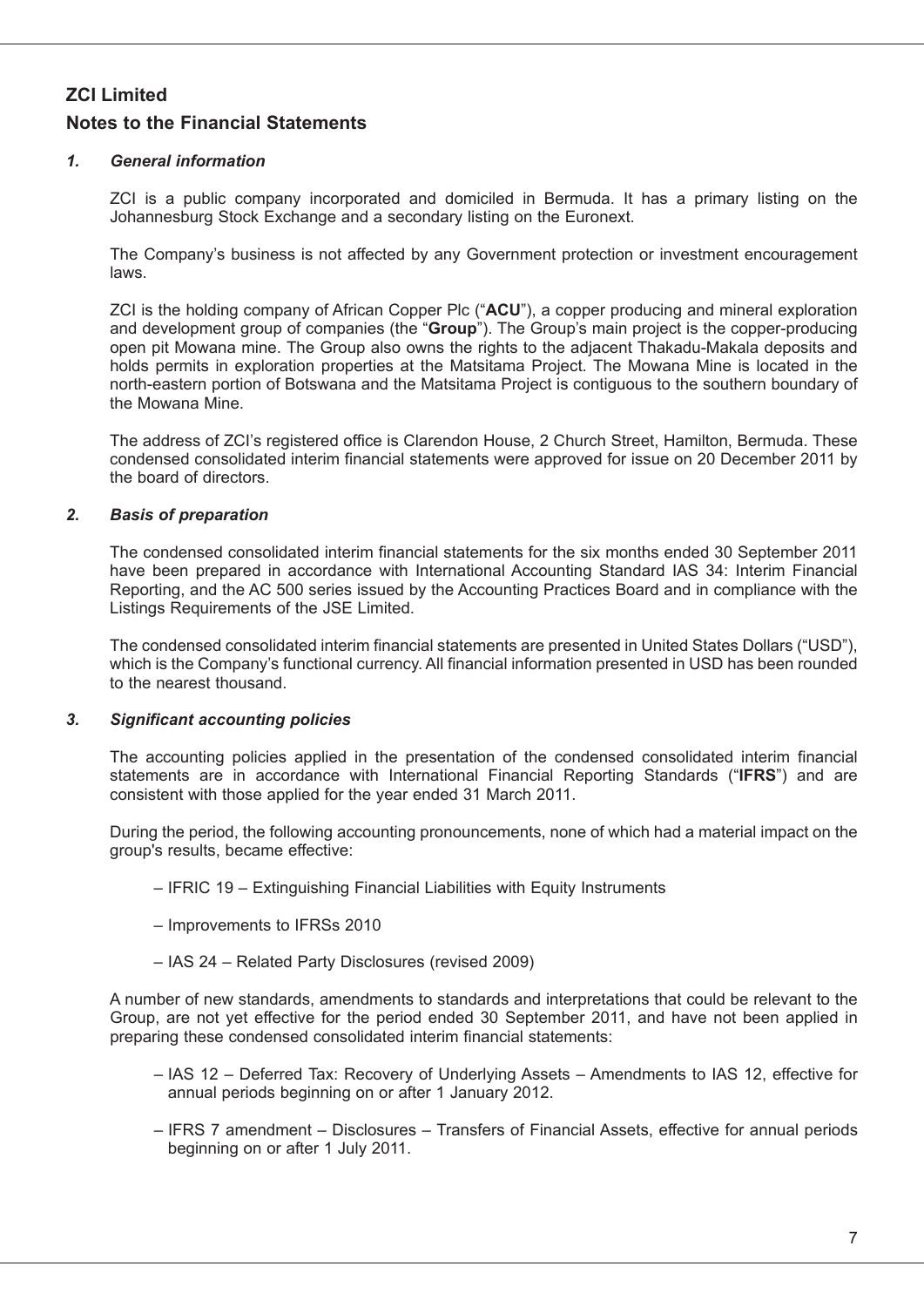### *1. General information*

ZCI is a public company incorporated and domiciled in Bermuda. It has a primary listing on the Johannesburg Stock Exchange and a secondary listing on the Euronext.

The Company's business is not affected by any Government protection or investment encouragement laws.

ZCI is the holding company of African Copper Plc ("**ACU**"), a copper producing and mineral exploration and development group of companies (the "**Group**"). The Group's main project is the copper-producing open pit Mowana mine. The Group also owns the rights to the adjacent Thakadu-Makala deposits and holds permits in exploration properties at the Matsitama Project. The Mowana Mine is located in the north-eastern portion of Botswana and the Matsitama Project is contiguous to the southern boundary of the Mowana Mine.

The address of ZCI's registered office is Clarendon House, 2 Church Street, Hamilton, Bermuda. These condensed consolidated interim financial statements were approved for issue on 20 December 2011 by the board of directors.

### *2. Basis of preparation*

The condensed consolidated interim financial statements for the six months ended 30 September 2011 have been prepared in accordance with International Accounting Standard IAS 34: Interim Financial Reporting, and the AC 500 series issued by the Accounting Practices Board and in compliance with the Listings Requirements of the JSE Limited.

The condensed consolidated interim financial statements are presented in United States Dollars ("USD"), which is the Company's functional currency. All financial information presented in USD has been rounded to the nearest thousand.

### *3. Significant accounting policies*

The accounting policies applied in the presentation of the condensed consolidated interim financial statements are in accordance with International Financial Reporting Standards ("**IFRS**") and are consistent with those applied for the year ended 31 March 2011.

During the period, the following accounting pronouncements, none of which had a material impact on the group's results, became effective:

- IFRIC 19 Extinguishing Financial Liabilities with Equity Instruments
- Improvements to IFRSs 2010
- IAS 24 Related Party Disclosures (revised 2009)

A number of new standards, amendments to standards and interpretations that could be relevant to the Group, are not yet effective for the period ended 30 September 2011, and have not been applied in preparing these condensed consolidated interim financial statements:

- IAS 12 Deferred Tax: Recovery of Underlying Assets Amendments to IAS 12, effective for annual periods beginning on or after 1 January 2012.
- IFRS 7 amendment Disclosures Transfers of Financial Assets, effective for annual periods beginning on or after 1 July 2011.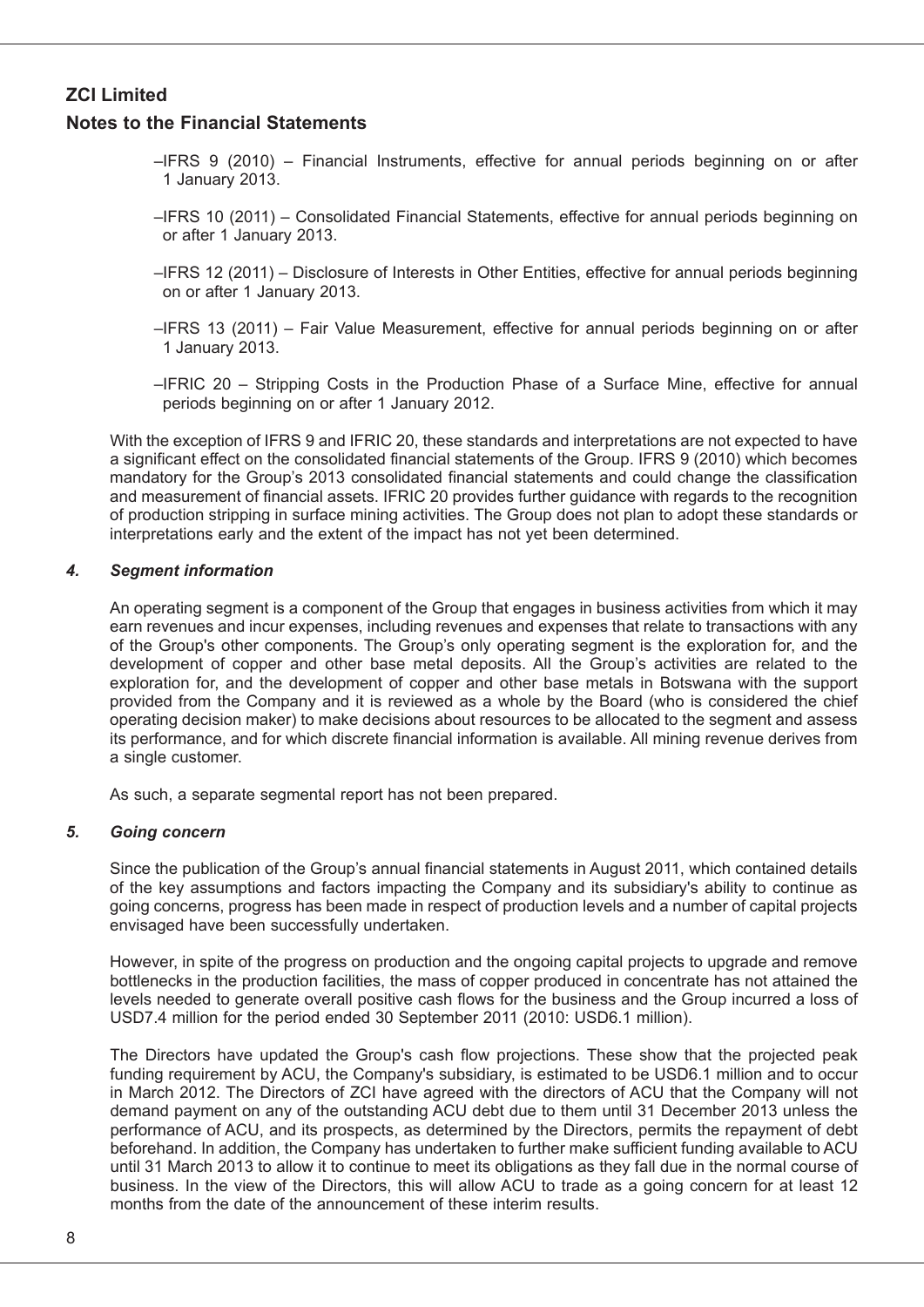### **Notes to the Financial Statements**

- –IFRS 9 (2010) Financial Instruments, effective for annual periods beginning on or after 1 January 2013.
- –IFRS 10 (2011) Consolidated Financial Statements, effective for annual periods beginning on or after 1 January 2013.
- –IFRS 12 (2011) Disclosure of Interests in Other Entities, effective for annual periods beginning on or after 1 January 2013.
- –IFRS 13 (2011) Fair Value Measurement, effective for annual periods beginning on or after 1 January 2013.
- –IFRIC 20 Stripping Costs in the Production Phase of a Surface Mine, effective for annual periods beginning on or after 1 January 2012.

With the exception of IFRS 9 and IFRIC 20, these standards and interpretations are not expected to have a significant effect on the consolidated financial statements of the Group. IFRS 9 (2010) which becomes mandatory for the Group's 2013 consolidated financial statements and could change the classification and measurement of financial assets. IFRIC 20 provides further guidance with regards to the recognition of production stripping in surface mining activities. The Group does not plan to adopt these standards or interpretations early and the extent of the impact has not yet been determined.

### *4. Segment information*

An operating segment is a component of the Group that engages in business activities from which it may earn revenues and incur expenses, including revenues and expenses that relate to transactions with any of the Group's other components. The Group's only operating segment is the exploration for, and the development of copper and other base metal deposits. All the Group's activities are related to the exploration for, and the development of copper and other base metals in Botswana with the support provided from the Company and it is reviewed as a whole by the Board (who is considered the chief operating decision maker) to make decisions about resources to be allocated to the segment and assess its performance, and for which discrete financial information is available. All mining revenue derives from a single customer.

As such, a separate segmental report has not been prepared.

### *5. Going concern*

Since the publication of the Group's annual financial statements in August 2011, which contained details of the key assumptions and factors impacting the Company and its subsidiary's ability to continue as going concerns, progress has been made in respect of production levels and a number of capital projects envisaged have been successfully undertaken.

However, in spite of the progress on production and the ongoing capital projects to upgrade and remove bottlenecks in the production facilities, the mass of copper produced in concentrate has not attained the levels needed to generate overall positive cash flows for the business and the Group incurred a loss of USD7.4 million for the period ended 30 September 2011 (2010: USD6.1 million).

The Directors have updated the Group's cash flow projections. These show that the projected peak funding requirement by ACU, the Company's subsidiary, is estimated to be USD6.1 million and to occur in March 2012. The Directors of ZCI have agreed with the directors of ACU that the Company will not demand payment on any of the outstanding ACU debt due to them until 31 December 2013 unless the performance of ACU, and its prospects, as determined by the Directors, permits the repayment of debt beforehand. In addition, the Company has undertaken to further make sufficient funding available to ACU until 31 March 2013 to allow it to continue to meet its obligations as they fall due in the normal course of business. In the view of the Directors, this will allow ACU to trade as a going concern for at least 12 months from the date of the announcement of these interim results.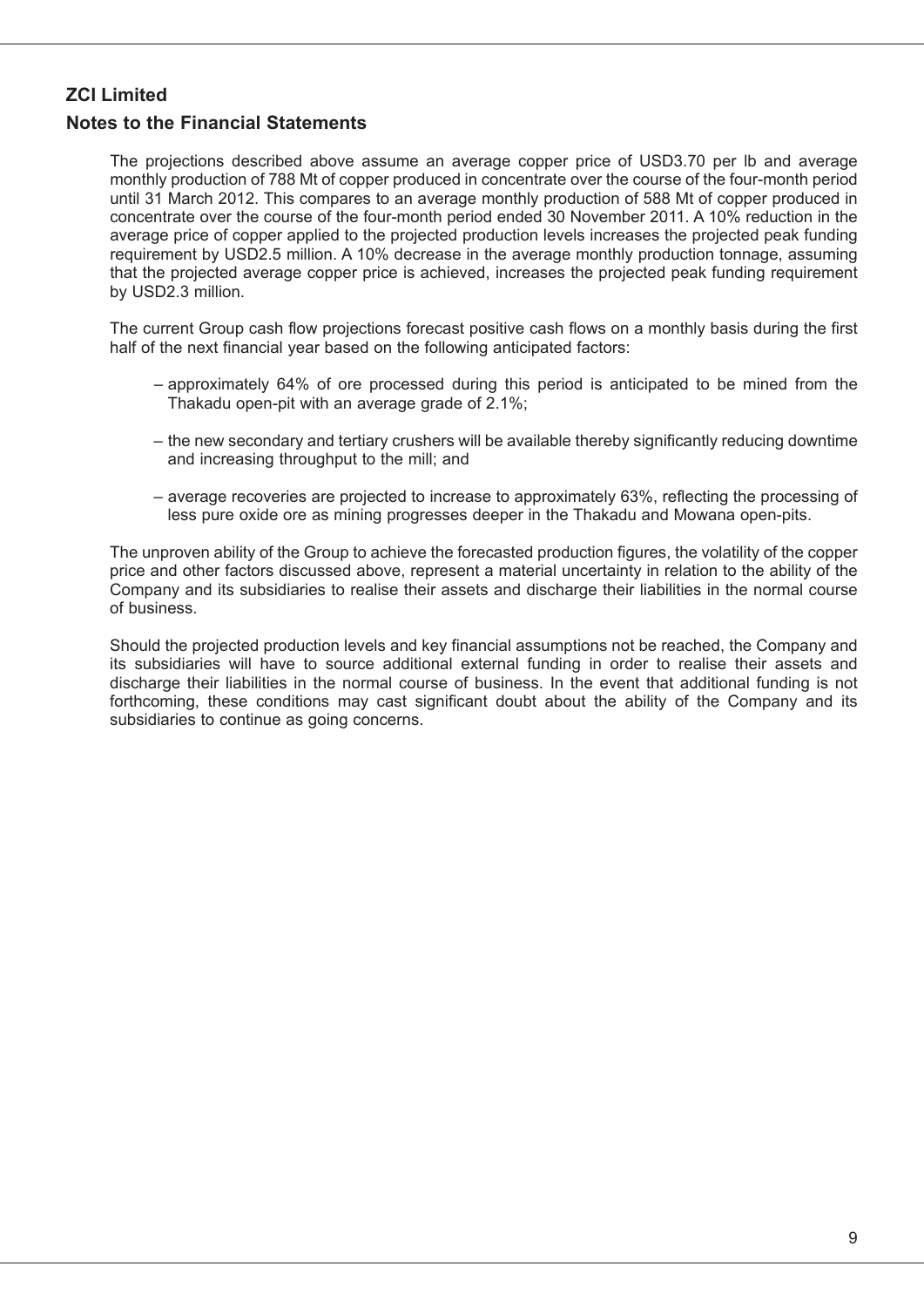### **Notes to the Financial Statements**

The projections described above assume an average copper price of USD3.70 per lb and average monthly production of 788 Mt of copper produced in concentrate over the course of the four-month period until 31 March 2012. This compares to an average monthly production of 588 Mt of copper produced in concentrate over the course of the four-month period ended 30 November 2011. A 10% reduction in the average price of copper applied to the projected production levels increases the projected peak funding requirement by USD2.5 million. A 10% decrease in the average monthly production tonnage, assuming that the projected average copper price is achieved, increases the projected peak funding requirement by USD2.3 million.

The current Group cash flow projections forecast positive cash flows on a monthly basis during the first half of the next financial year based on the following anticipated factors:

- approximately 64% of ore processed during this period is anticipated to be mined from the Thakadu open-pit with an average grade of 2.1%;
- the new secondary and tertiary crushers will be available thereby significantly reducing downtime and increasing throughput to the mill; and
- average recoveries are projected to increase to approximately 63%, reflecting the processing of less pure oxide ore as mining progresses deeper in the Thakadu and Mowana open-pits.

The unproven ability of the Group to achieve the forecasted production figures, the volatility of the copper price and other factors discussed above, represent a material uncertainty in relation to the ability of the Company and its subsidiaries to realise their assets and discharge their liabilities in the normal course of business.

Should the projected production levels and key financial assumptions not be reached, the Company and its subsidiaries will have to source additional external funding in order to realise their assets and discharge their liabilities in the normal course of business. In the event that additional funding is not forthcoming, these conditions may cast significant doubt about the ability of the Company and its subsidiaries to continue as going concerns.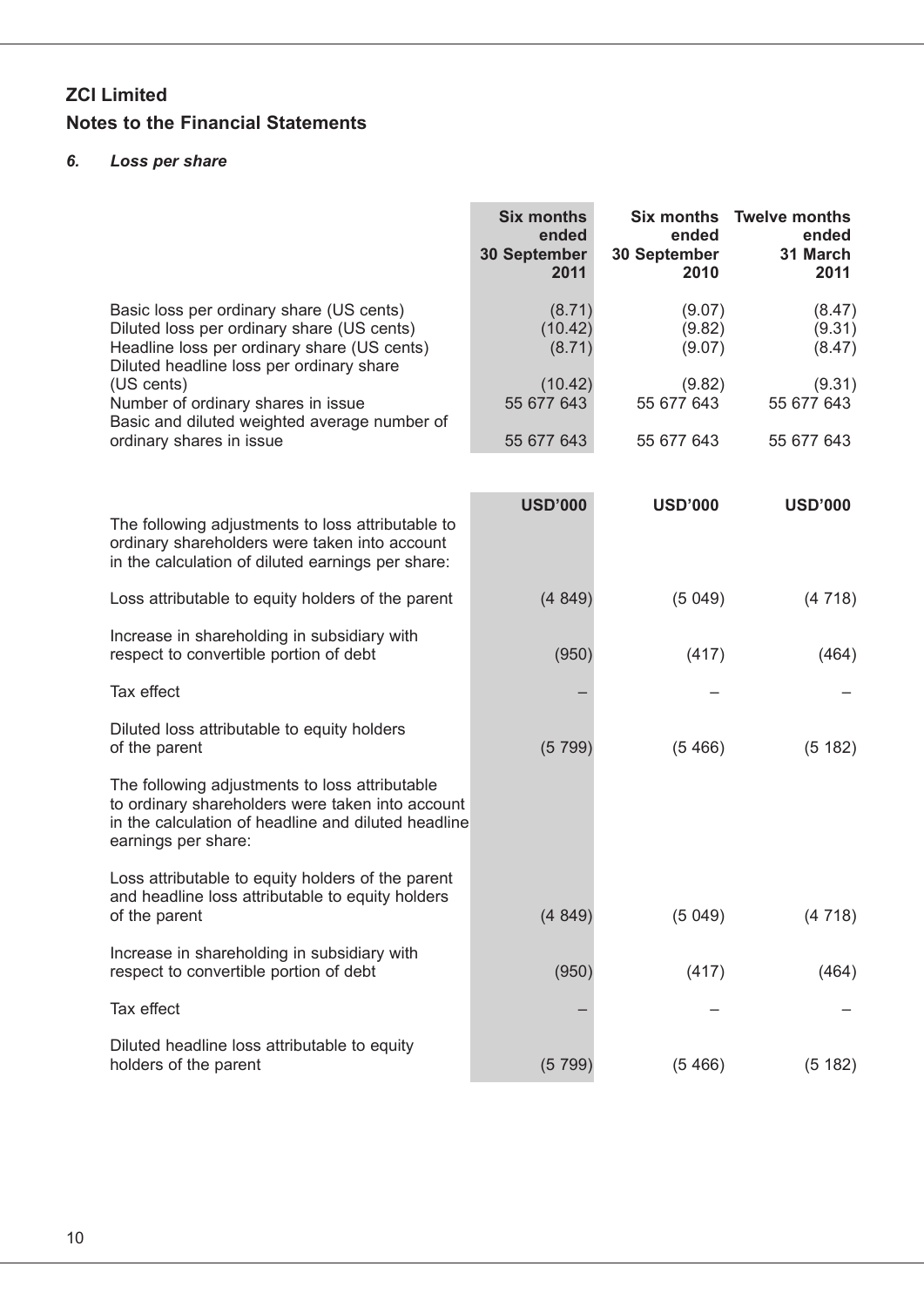### *6. Loss per share*

|                                                                                                                                                                                  | <b>Six months</b><br>ended<br><b>30 September</b><br>2011 | ended<br>30 September<br>2010 | Six months Twelve months<br>ended<br>31 March<br>2011 |
|----------------------------------------------------------------------------------------------------------------------------------------------------------------------------------|-----------------------------------------------------------|-------------------------------|-------------------------------------------------------|
| Basic loss per ordinary share (US cents)<br>Diluted loss per ordinary share (US cents)<br>Headline loss per ordinary share (US cents)                                            | (8.71)<br>(10.42)<br>(8.71)                               | (9.07)<br>(9.82)<br>(9.07)    | (8.47)<br>(9.31)<br>(8.47)                            |
| Diluted headline loss per ordinary share<br>(US cents)<br>Number of ordinary shares in issue                                                                                     | (10.42)<br>55 677 643                                     | (9.82)<br>55 677 643          | (9.31)<br>55 677 643                                  |
| Basic and diluted weighted average number of<br>ordinary shares in issue                                                                                                         | 55 677 643                                                | 55 677 643                    | 55 677 643                                            |
| The following adjustments to loss attributable to<br>ordinary shareholders were taken into account<br>in the calculation of diluted earnings per share:                          | <b>USD'000</b>                                            | <b>USD'000</b>                | <b>USD'000</b>                                        |
| Loss attributable to equity holders of the parent                                                                                                                                | (4849)                                                    | (5049)                        | (4718)                                                |
| Increase in shareholding in subsidiary with<br>respect to convertible portion of debt                                                                                            | (950)                                                     | (417)                         | (464)                                                 |
| Tax effect                                                                                                                                                                       |                                                           |                               |                                                       |
| Diluted loss attributable to equity holders<br>of the parent                                                                                                                     | (5799)                                                    | (5466)                        | (5182)                                                |
| The following adjustments to loss attributable<br>to ordinary shareholders were taken into account<br>in the calculation of headline and diluted headline<br>earnings per share: |                                                           |                               |                                                       |
| Loss attributable to equity holders of the parent<br>and headline loss attributable to equity holders<br>of the parent                                                           | (4849)                                                    | (5049)                        | (4718)                                                |
| Increase in shareholding in subsidiary with<br>respect to convertible portion of debt                                                                                            | (950)                                                     | (417)                         | (464)                                                 |
| Tax effect                                                                                                                                                                       |                                                           |                               |                                                       |
| Diluted headline loss attributable to equity<br>holders of the parent                                                                                                            | (5799)                                                    | (5466)                        | (5182)                                                |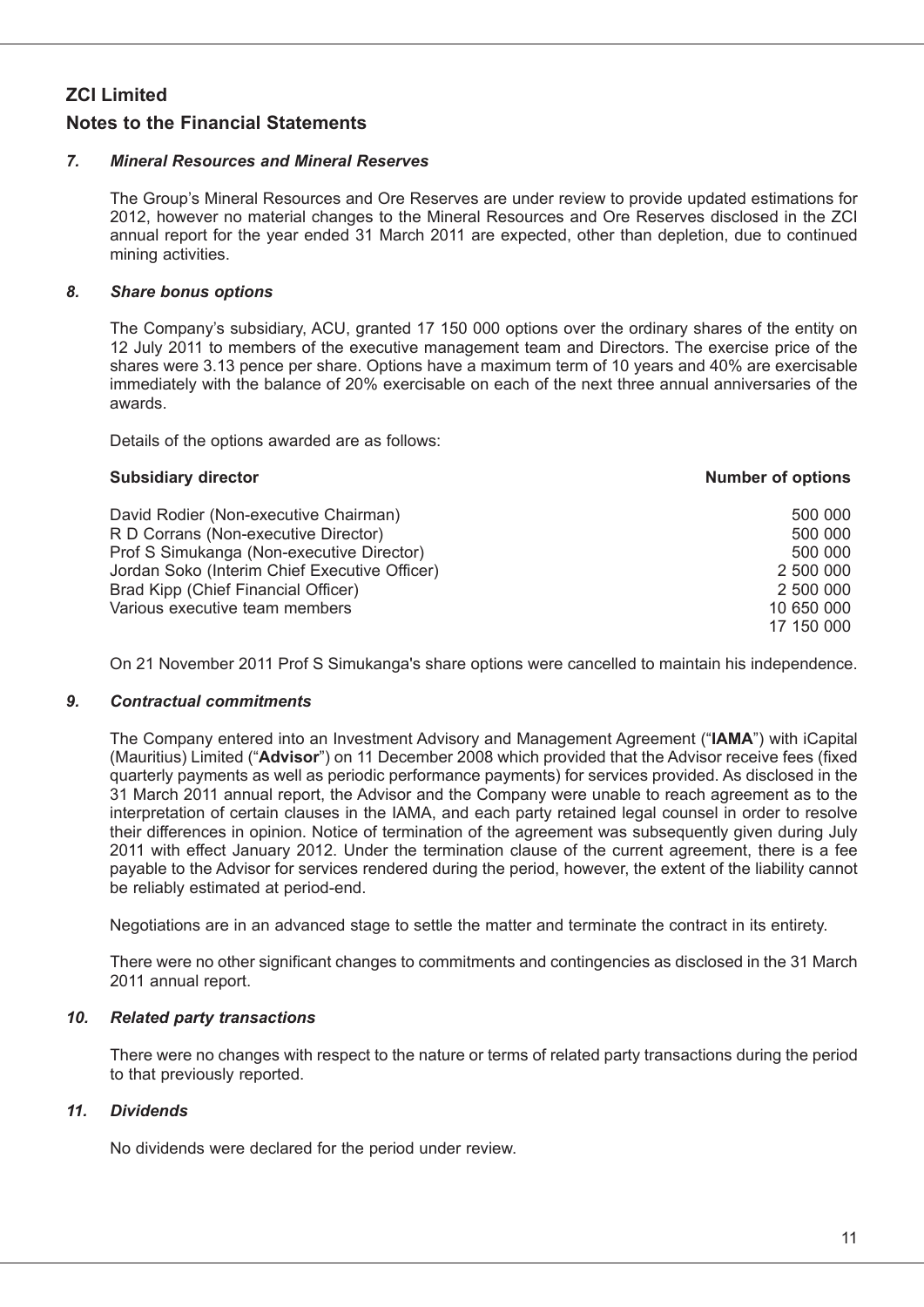### *7. Mineral Resources and Mineral Reserves*

The Group's Mineral Resources and Ore Reserves are under review to provide updated estimations for 2012, however no material changes to the Mineral Resources and Ore Reserves disclosed in the ZCI annual report for the year ended 31 March 2011 are expected, other than depletion, due to continued mining activities.

### *8. Share bonus options*

The Company's subsidiary, ACU, granted 17 150 000 options over the ordinary shares of the entity on 12 July 2011 to members of the executive management team and Directors. The exercise price of the shares were 3.13 pence per share. Options have a maximum term of 10 years and 40% are exercisable immediately with the balance of 20% exercisable on each of the next three annual anniversaries of the awards.

Details of the options awarded are as follows:

#### **Subsidiary** director **number of** *options director* **<b>***number options*

| David Rodier (Non-executive Chairman)         | 500 000    |
|-----------------------------------------------|------------|
| R D Corrans (Non-executive Director)          | 500 000    |
| Prof S Simukanga (Non-executive Director)     | 500 000    |
| Jordan Soko (Interim Chief Executive Officer) | 2 500 000  |
| Brad Kipp (Chief Financial Officer)           | 2 500 000  |
| Various executive team members                | 10 650 000 |
|                                               | 17 150 000 |

On 21 November 2011 Prof S Simukanga's share options were cancelled to maintain his independence.

### *9. Contractual commitments*

The Company entered into an Investment Advisory and Management Agreement ("**IAMA**") with iCapital (Mauritius) Limited ("**Advisor**") on 11 December 2008 which provided that the Advisor receive fees (fixed quarterly payments as well as periodic performance payments) for services provided. As disclosed in the 31 March 2011 annual report, the Advisor and the Company were unable to reach agreement as to the interpretation of certain clauses in the IAMA, and each party retained legal counsel in order to resolve their differences in opinion. Notice of termination of the agreement was subsequently given during July 2011 with effect January 2012. Under the termination clause of the current agreement, there is a fee payable to the Advisor for services rendered during the period, however, the extent of the liability cannot be reliably estimated at period-end.

Negotiations are in an advanced stage to settle the matter and terminate the contract in its entirety.

There were no other significant changes to commitments and contingencies as disclosed in the 31 March 2011 annual report.

### *10. Related party transactions*

There were no changes with respect to the nature or terms of related party transactions during the period to that previously reported.

### *11. Dividends*

No dividends were declared for the period under review.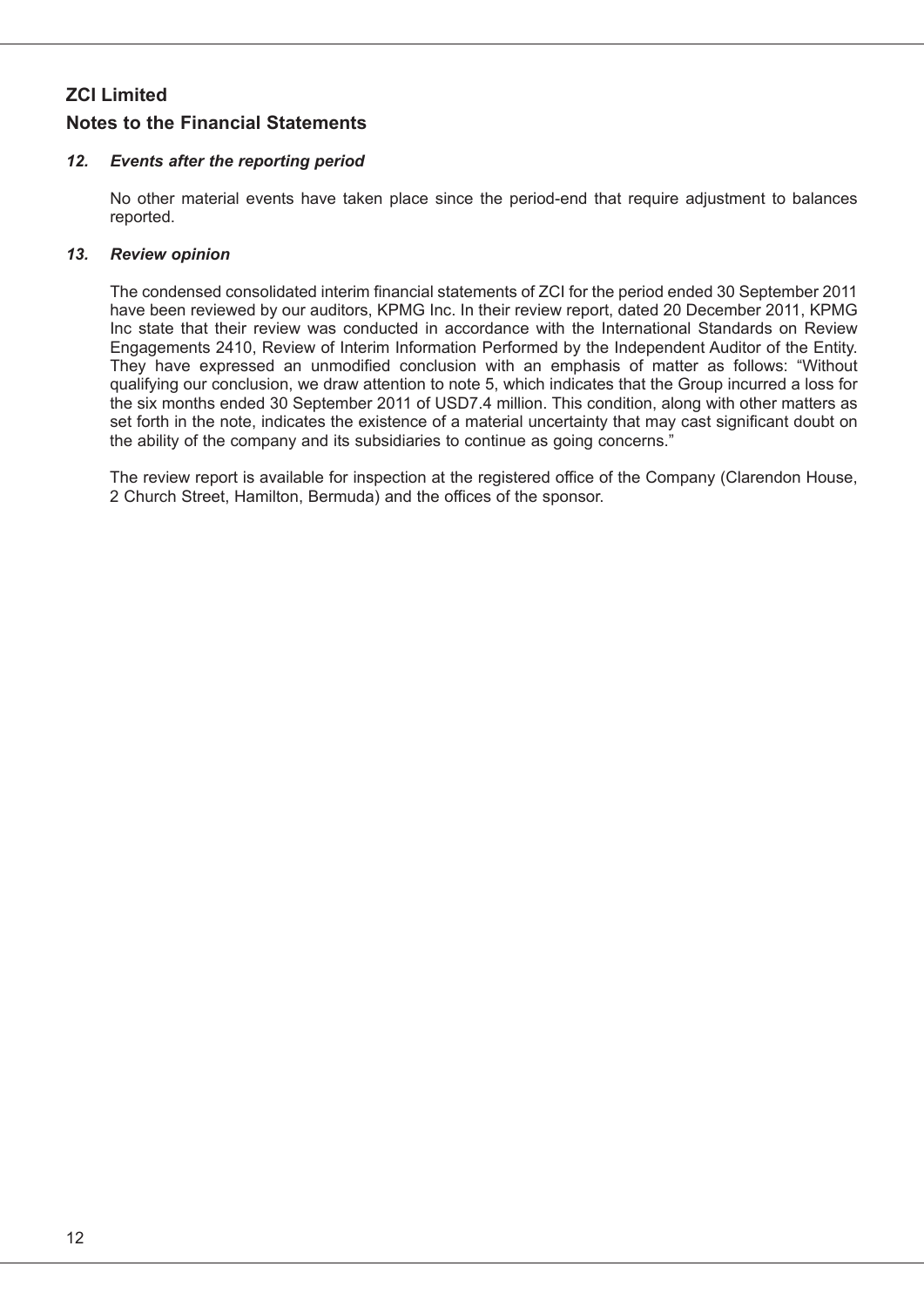### *12. Events after the reporting period*

No other material events have taken place since the period-end that require adjustment to balances reported.

### *13. Review opinion*

The condensed consolidated interim financial statements of ZCI for the period ended 30 September 2011 have been reviewed by our auditors, KPMG Inc. In their review report, dated 20 December 2011, KPMG Inc state that their review was conducted in accordance with the International Standards on Review Engagements 2410, Review of Interim Information Performed by the Independent Auditor of the Entity. They have expressed an unmodified conclusion with an emphasis of matter as follows: "Without qualifying our conclusion, we draw attention to note 5, which indicates that the Group incurred a loss for the six months ended 30 September 2011 of USD7.4 million. This condition, along with other matters as set forth in the note, indicates the existence of a material uncertainty that may cast significant doubt on the ability of the company and its subsidiaries to continue as going concerns."

The review report is available for inspection at the registered office of the Company (Clarendon House, 2 Church Street, Hamilton, Bermuda) and the offices of the sponsor.